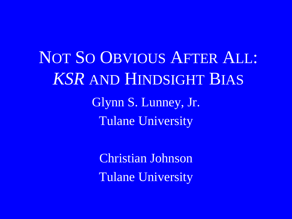NOT SO OBVIOUS AFTER ALL: *KSR* AND HINDSIGHT BIAS Glynn S. Lunney, Jr. Tulane University

> Christian Johnson Tulane University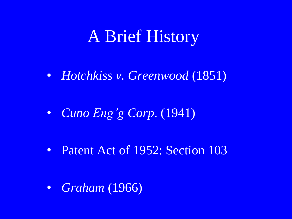## A Brief History

• *Hotchkiss v. Greenwood* (1851)

• *Cuno Eng'g Corp*. (1941)

• Patent Act of 1952: Section 103

• *Graham* (1966)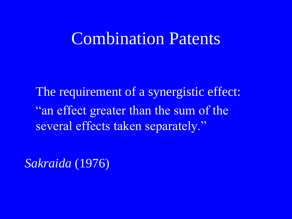#### Combination Patents

The requirement of a synergistic effect: "an effect greater than the sum of the several effects taken separately."

*Sakraida* (1976)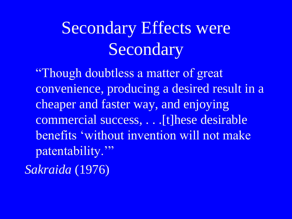# Secondary Effects were Secondary

"Though doubtless a matter of great convenience, producing a desired result in a cheaper and faster way, and enjoying commercial success, . . .[t]hese desirable benefits 'without invention will not make patentability." *Sakraida* (1976)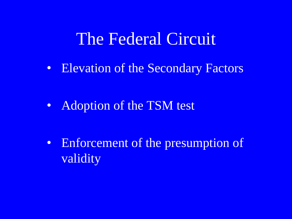#### The Federal Circuit

• Elevation of the Secondary Factors

• Adoption of the TSM test

• Enforcement of the presumption of validity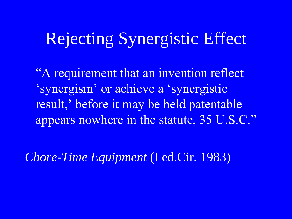## Rejecting Synergistic Effect

"A requirement that an invention reflect "synergism" or achieve a "synergistic result,' before it may be held patentable appears nowhere in the statute, 35 U.S.C."

*Chore-Time Equipment* (Fed.Cir. 1983)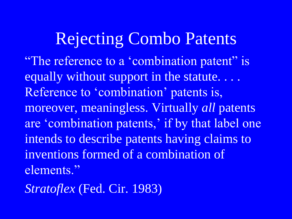### Rejecting Combo Patents "The reference to a 'combination patent" is equally without support in the statute. . . . Reference to 'combination' patents is, moreover, meaningless. Virtually *all* patents are 'combination patents,' if by that label one intends to describe patents having claims to inventions formed of a combination of elements."

*Stratoflex* (Fed. Cir. 1983)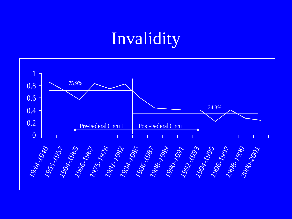## Invalidity

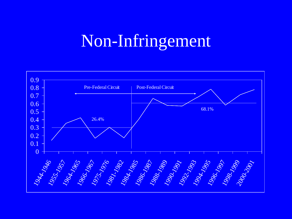## Non-Infringement

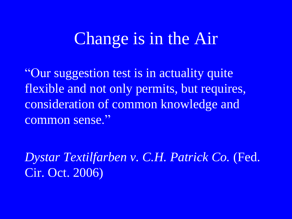## Change is in the Air

"Our suggestion test is in actuality quite flexible and not only permits, but requires, consideration of common knowledge and common sense."

*Dystar Textilfarben v. C.H. Patrick Co.* (Fed. Cir. Oct. 2006)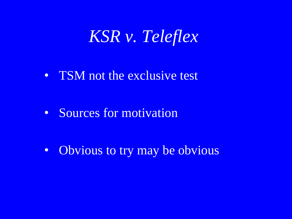### *KSR v. Teleflex*

• TSM not the exclusive test

• Sources for motivation

• Obvious to try may be obvious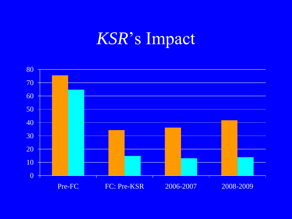## *KSR*"s Impact

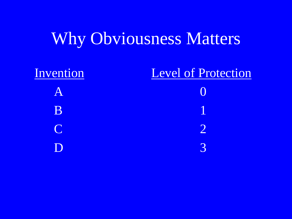## Why Obviousness Matters

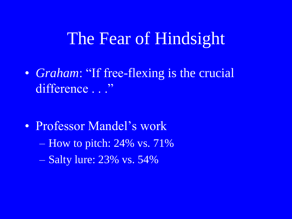### The Fear of Hindsight

• *Graham*: "If free-flexing is the crucial difference ..."

• Professor Mandel's work  $-$  How to pitch: 24% vs. 71% – Salty lure: 23% vs. 54%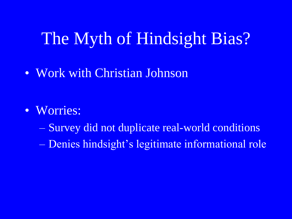## The Myth of Hindsight Bias?

• Work with Christian Johnson

- Worries:
	- Survey did not duplicate real-world conditions
	- Denies hindsight"s legitimate informational role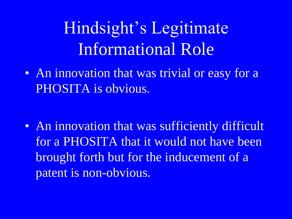# Hindsight"s Legitimate Informational Role

• An innovation that was trivial or easy for a PHOSITA is obvious.

• An innovation that was sufficiently difficult for a PHOSITA that it would not have been brought forth but for the inducement of a patent is non-obvious.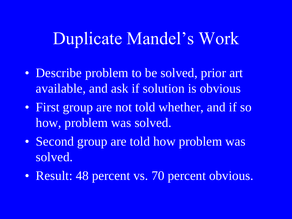### Duplicate Mandel"s Work

- Describe problem to be solved, prior art available, and ask if solution is obvious
- First group are not told whether, and if so how, problem was solved.
- Second group are told how problem was solved.
- Result: 48 percent vs. 70 percent obvious.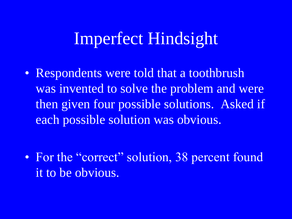### Imperfect Hindsight

• Respondents were told that a toothbrush was invented to solve the problem and were then given four possible solutions. Asked if each possible solution was obvious.

• For the "correct" solution, 38 percent found it to be obvious.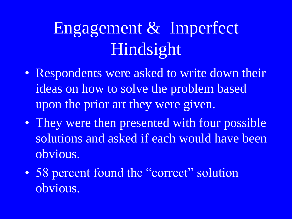# Engagement & Imperfect Hindsight

- Respondents were asked to write down their ideas on how to solve the problem based upon the prior art they were given.
- They were then presented with four possible solutions and asked if each would have been obvious.
- 58 percent found the "correct" solution obvious.